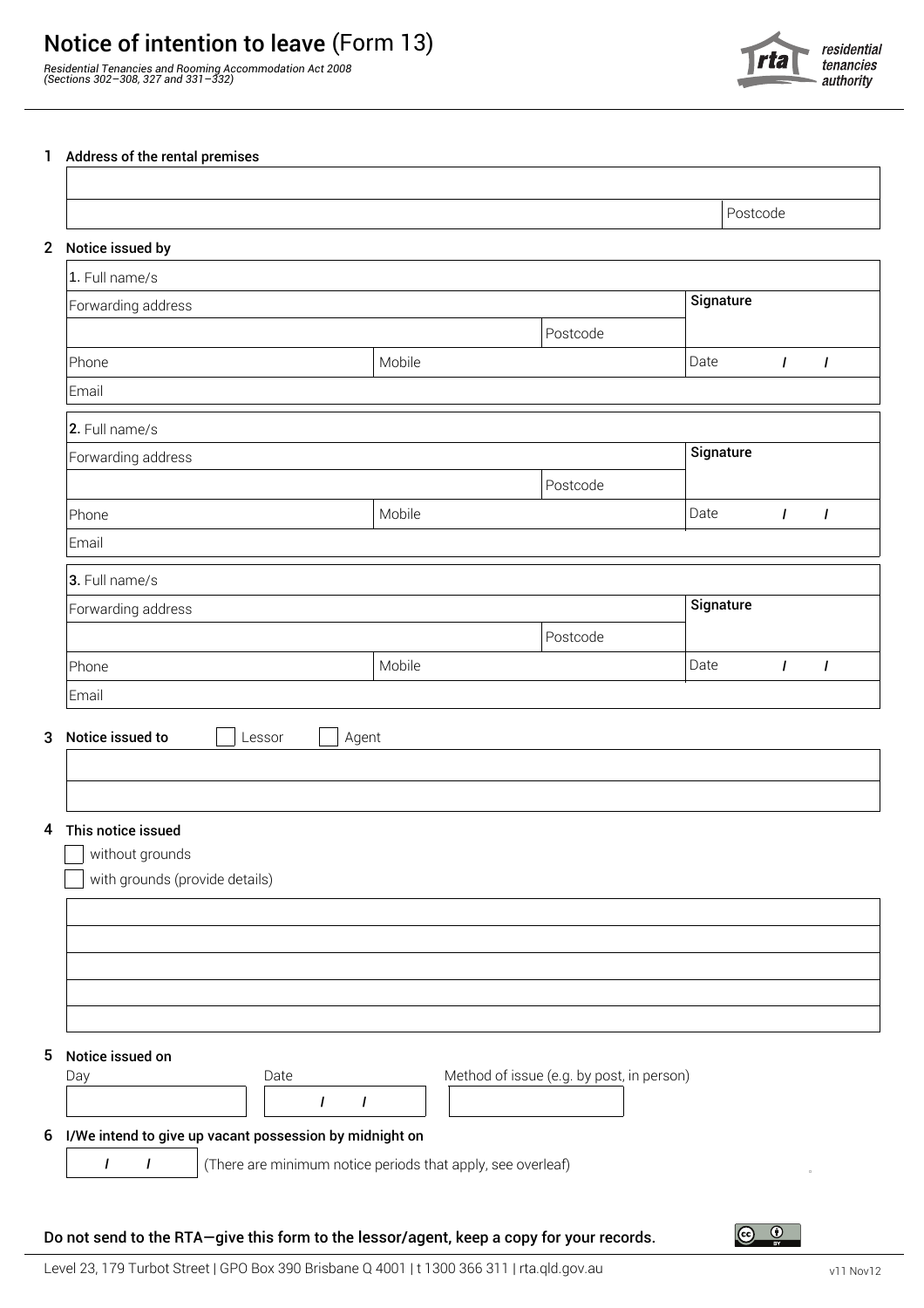## Notice of intention to leave (Form 13)

*Residential Tenancies and Rooming Accommodation Act 2008 (Sections 302–308, 327 and 331–332)*



## 1 Address of the rental premises

| Notice issued by                      |           |                                           |           | Postcode     |                |
|---------------------------------------|-----------|-------------------------------------------|-----------|--------------|----------------|
| 1. Full name/s                        |           |                                           |           |              |                |
| Forwarding address                    | Signature |                                           |           |              |                |
|                                       |           | Postcode                                  |           |              |                |
| Phone                                 | Mobile    |                                           | Date      | $\mathbf{I}$ | $\overline{I}$ |
| Email                                 |           |                                           |           |              |                |
| 2. Full name/s                        |           |                                           |           |              |                |
| Forwarding address                    | Signature |                                           |           |              |                |
|                                       |           | Postcode                                  |           |              |                |
| Phone                                 | Mobile    |                                           | Date      | $\mathbf{I}$ | $\mathbf{I}$   |
| Email                                 |           |                                           |           |              |                |
| 3. Full name/s                        |           |                                           |           |              |                |
| Forwarding address                    |           |                                           | Signature |              |                |
|                                       |           | Postcode                                  |           |              |                |
| Phone                                 | Mobile    |                                           | Date      | L            | $\mathbf{I}$   |
| Email                                 |           |                                           |           |              |                |
| 3 Notice issued to<br>Lessor          | Agent     |                                           |           |              |                |
|                                       |           |                                           |           |              |                |
|                                       |           |                                           |           |              |                |
|                                       |           |                                           |           |              |                |
|                                       |           |                                           |           |              |                |
| This notice issued<br>without grounds |           |                                           |           |              |                |
| with grounds (provide details)        |           |                                           |           |              |                |
|                                       |           |                                           |           |              |                |
|                                       |           |                                           |           |              |                |
|                                       |           |                                           |           |              |                |
|                                       |           |                                           |           |              |                |
|                                       |           |                                           |           |              |                |
|                                       |           |                                           |           |              |                |
| 5 Notice issued on<br>Date<br>Day     |           | Method of issue (e.g. by post, in person) |           |              |                |

(There are minimum notice periods that apply, see overleaf)

## Do not send to the RTA—give this form to the lessor/agent, keep a copy for your records.

**/ /**